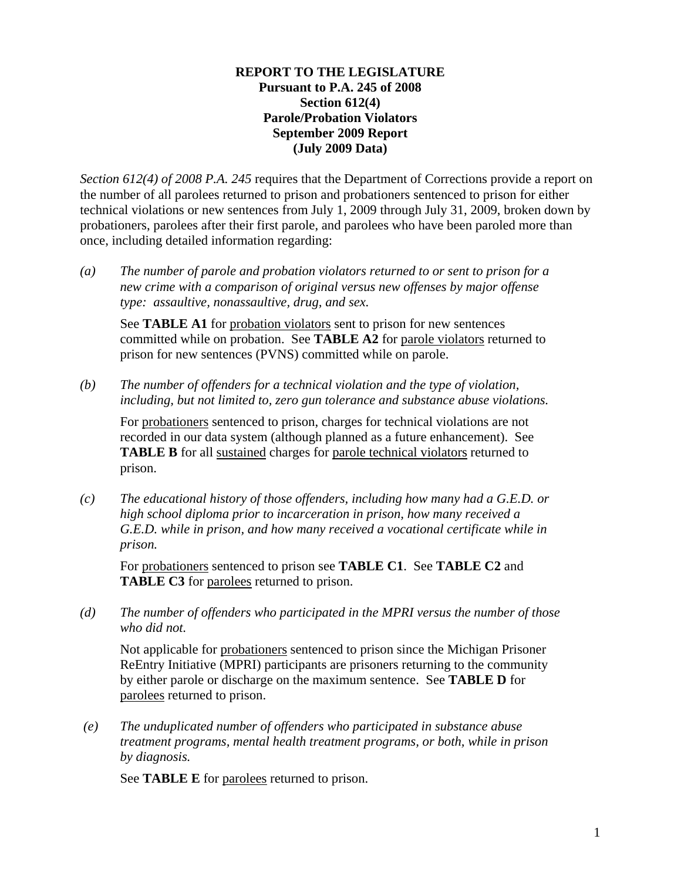#### **REPORT TO THE LEGISLATURE Pursuant to P.A. 245 of 2008 Section 612(4) Parole/Probation Violators September 2009 Report (July 2009 Data)**

*Section 612(4) of 2008 P.A. 245* requires that the Department of Corrections provide a report on the number of all parolees returned to prison and probationers sentenced to prison for either technical violations or new sentences from July 1, 2009 through July 31, 2009, broken down by probationers, parolees after their first parole, and parolees who have been paroled more than once, including detailed information regarding:

*(a) The number of parole and probation violators returned to or sent to prison for a new crime with a comparison of original versus new offenses by major offense type: assaultive, nonassaultive, drug, and sex.* 

See **TABLE A1** for probation violators sent to prison for new sentences committed while on probation. See **TABLE A2** for parole violators returned to prison for new sentences (PVNS) committed while on parole.

*(b) The number of offenders for a technical violation and the type of violation, including, but not limited to, zero gun tolerance and substance abuse violations.* 

For probationers sentenced to prison, charges for technical violations are not recorded in our data system (although planned as a future enhancement). See **TABLE B** for all sustained charges for parole technical violators returned to prison.

*(c) The educational history of those offenders, including how many had a G.E.D. or high school diploma prior to incarceration in prison, how many received a G.E.D. while in prison, and how many received a vocational certificate while in prison.* 

For probationers sentenced to prison see **TABLE C1**. See **TABLE C2** and **TABLE C3** for parolees returned to prison.

*(d) The number of offenders who participated in the MPRI versus the number of those who did not.* 

Not applicable for probationers sentenced to prison since the Michigan Prisoner ReEntry Initiative (MPRI) participants are prisoners returning to the community by either parole or discharge on the maximum sentence. See **TABLE D** for parolees returned to prison.

 *(e) The unduplicated number of offenders who participated in substance abuse treatment programs, mental health treatment programs, or both, while in prison by diagnosis.* 

See **TABLE E** for parolees returned to prison.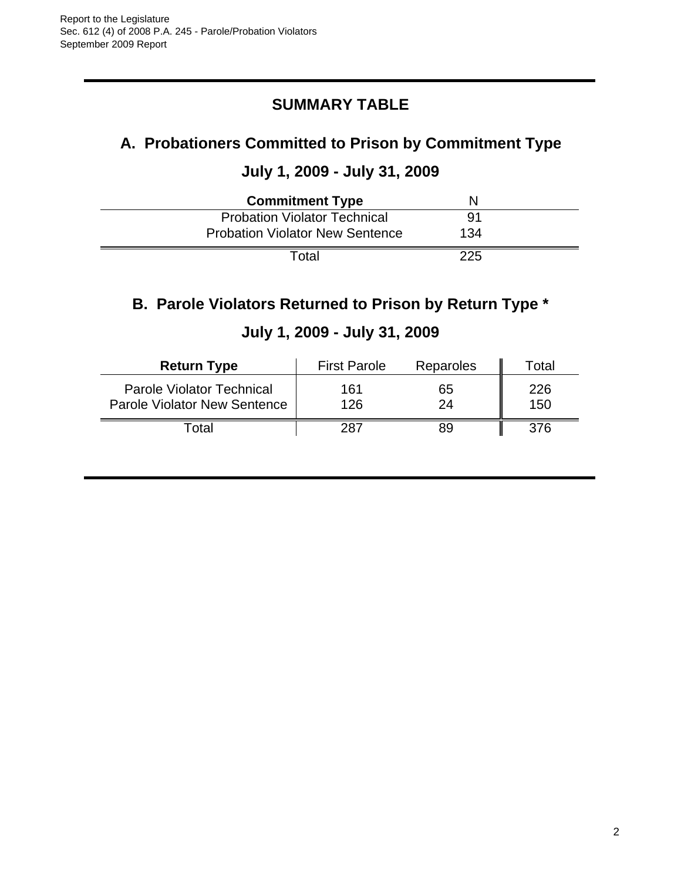# **SUMMARY TABLE**

# **A. Probationers Committed to Prison by Commitment Type**

#### **July 1, 2009 - July 31, 2009**

| <b>Commitment Type</b>                 |     |  |
|----------------------------------------|-----|--|
| <b>Probation Violator Technical</b>    | 91  |  |
| <b>Probation Violator New Sentence</b> | 134 |  |
| Total                                  | 225 |  |

### **B. Parole Violators Returned to Prison by Return Type \***

| <b>Return Type</b>                                               | <b>First Parole</b> | Reparoles | Гotal      |
|------------------------------------------------------------------|---------------------|-----------|------------|
| Parole Violator Technical<br><b>Parole Violator New Sentence</b> | 161<br>126          | 65<br>24  | 226<br>150 |
| otal                                                             | 287                 | 89        | 376.       |

# **July 1, 2009 - July 31, 2009**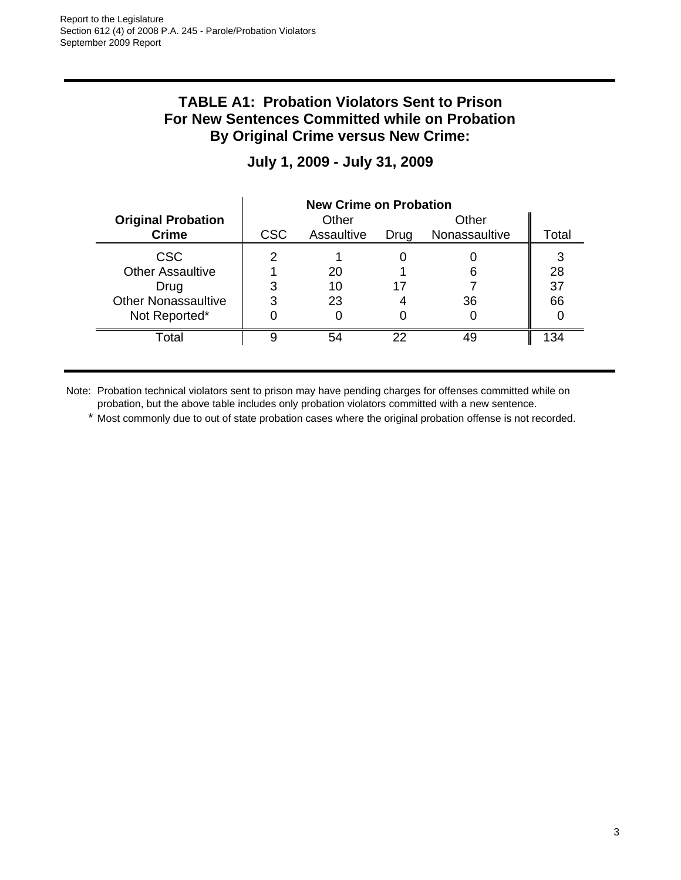#### **TABLE A1: Probation Violators Sent to Prison For New Sentences Committed while on Probation By Original Crime versus New Crime:**

|                            | <b>New Crime on Probation</b> |            |      |               |       |  |
|----------------------------|-------------------------------|------------|------|---------------|-------|--|
| <b>Original Probation</b>  |                               | Other      |      | Other         |       |  |
| <b>Crime</b>               | <b>CSC</b>                    | Assaultive | Drug | Nonassaultive | Total |  |
| <b>CSC</b>                 |                               |            |      |               | 3     |  |
| <b>Other Assaultive</b>    |                               | 20         |      | 6             | 28    |  |
| Drug                       |                               | 10         | 17   |               | 37    |  |
| <b>Other Nonassaultive</b> | 3                             | 23         |      | 36            | 66    |  |
| Not Reported*              |                               |            |      |               |       |  |
| Total                      | g                             | 54         | 22   | 49            | 134   |  |

# **July 1, 2009 - July 31, 2009**

Note: Probation technical violators sent to prison may have pending charges for offenses committed while on probation, but the above table includes only probation violators committed with a new sentence.

\* Most commonly due to out of state probation cases where the original probation offense is not recorded.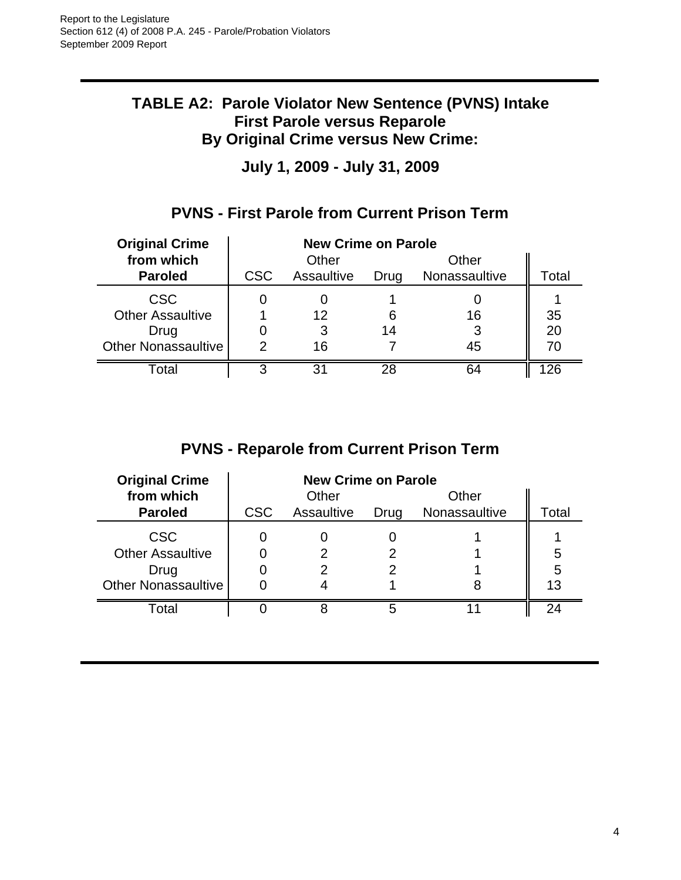#### **TABLE A2: Parole Violator New Sentence (PVNS) Intake First Parole versus Reparole By Original Crime versus New Crime:**

**July 1, 2009 - July 31, 2009**

## **PVNS - First Parole from Current Prison Term**

| <b>Original Crime</b>   | <b>New Crime on Parole</b> |            |      |               |       |
|-------------------------|----------------------------|------------|------|---------------|-------|
| from which              |                            | Other      |      | Other         |       |
| <b>Paroled</b>          | <b>CSC</b>                 | Assaultive | Drug | Nonassaultive | Total |
| <b>CSC</b>              |                            |            |      |               |       |
| <b>Other Assaultive</b> |                            | 12         | 6    | 16            | 35    |
| Drug                    |                            |            | 14   |               | 20    |
| Other Nonassaultive     | 2                          | 16         |      | 45            | 70    |
| Total                   | 3                          | 31         | 28   | 64            | 26    |

# **PVNS - Reparole from Current Prison Term**

| <b>Original Crime</b>      | <b>New Crime on Parole</b> |            |      |               |           |
|----------------------------|----------------------------|------------|------|---------------|-----------|
| from which                 |                            | Other      |      | Other         |           |
| <b>Paroled</b>             | <b>CSC</b>                 | Assaultive | Drug | Nonassaultive | Total     |
| <b>CSC</b>                 |                            |            |      |               |           |
| <b>Other Assaultive</b>    |                            |            |      |               | 5         |
| Drug                       |                            |            |      |               | 5         |
| <b>Other Nonassaultive</b> |                            |            |      |               | 13        |
| Total                      |                            |            |      |               | $2\Delta$ |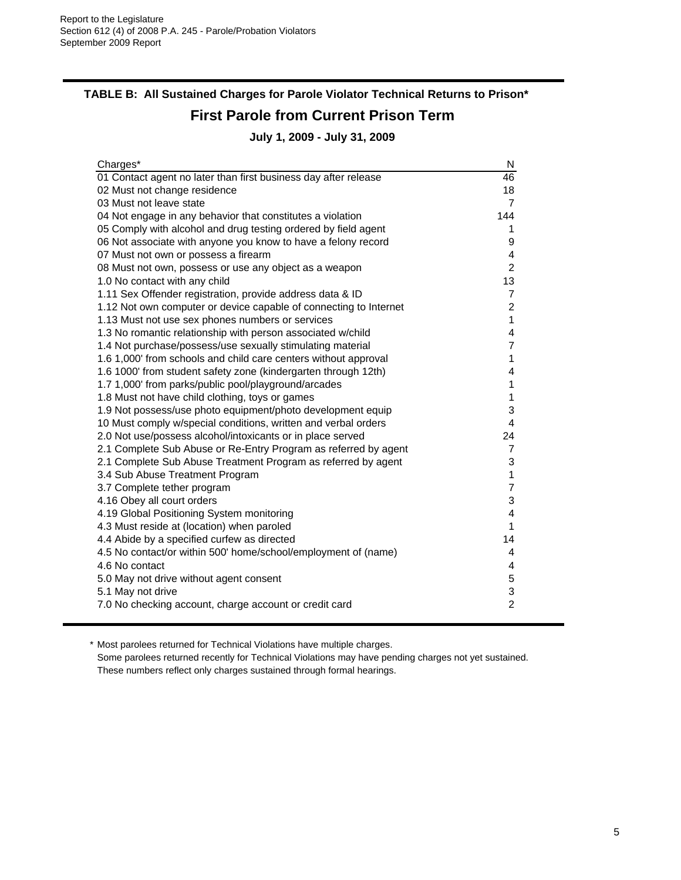#### **TABLE B: All Sustained Charges for Parole Violator Technical Returns to Prison\* First Parole from Current Prison Term July 1, 2009 - July 31, 2009**

Charges\* N 01 Contact agent no later than first business day after release 46 02 Must not change residence 18 and 200 Must not change residence 03 Must not leave state 7  $\sim$  7 04 Not engage in any behavior that constitutes a violation 144 05 Comply with alcohol and drug testing ordered by field agent 1 06 Not associate with anyone you know to have a felony record 9 07 Must not own or possess a firearm  $\frac{4}{3}$ 08 Must not own, possess or use any object as a weapon 2 1.0 No contact with any child 13 and 13 and 13 and 13 and 13 and 13 and 13 and 13 and 13 and 13 and 13 and 13 and 13 and 13 and 13 and 13 and 13 and 13 and 13 and 13 and 13 and 13 and 13 and 13 and 13 and 13 and 13 and 13 1.11 Sex Offender registration, provide address data & ID 7 1.12 Not own computer or device capable of connecting to Internet 2 1.13 Must not use sex phones numbers or services 1 1.3 No romantic relationship with person associated w/child 4 1.4 Not purchase/possess/use sexually stimulating material 7 1.6 1,000' from schools and child care centers without approval 1 1.6 1000' from student safety zone (kindergarten through 12th) 4 1.7 1,000' from parks/public pool/playground/arcades 1 1.8 Must not have child clothing, toys or games 1 1.9 Not possess/use photo equipment/photo development equip 3 10 Must comply w/special conditions, written and verbal orders 4 2.0 Not use/possess alcohol/intoxicants or in place served 24 2.1 Complete Sub Abuse or Re-Entry Program as referred by agent 7 2.1 Complete Sub Abuse Treatment Program as referred by agent 3 3.4 Sub Abuse Treatment Program 1 3.7 Complete tether program 7 4.16 Obey all court orders 3 4.19 Global Positioning System monitoring 4 4.3 Must reside at (location) when paroled 1 4.4 Abide by a specified curfew as directed 14 4.5 No contact/or within 500' home/school/employment of (name) 4 4.6 No contact 4 5.0 May not drive without agent consent 5 5.1 May not drive 3 7.0 No checking account, charge account or credit card 2

\* Most parolees returned for Technical Violations have multiple charges. Some parolees returned recently for Technical Violations may have pending charges not yet sustained. These numbers reflect only charges sustained through formal hearings.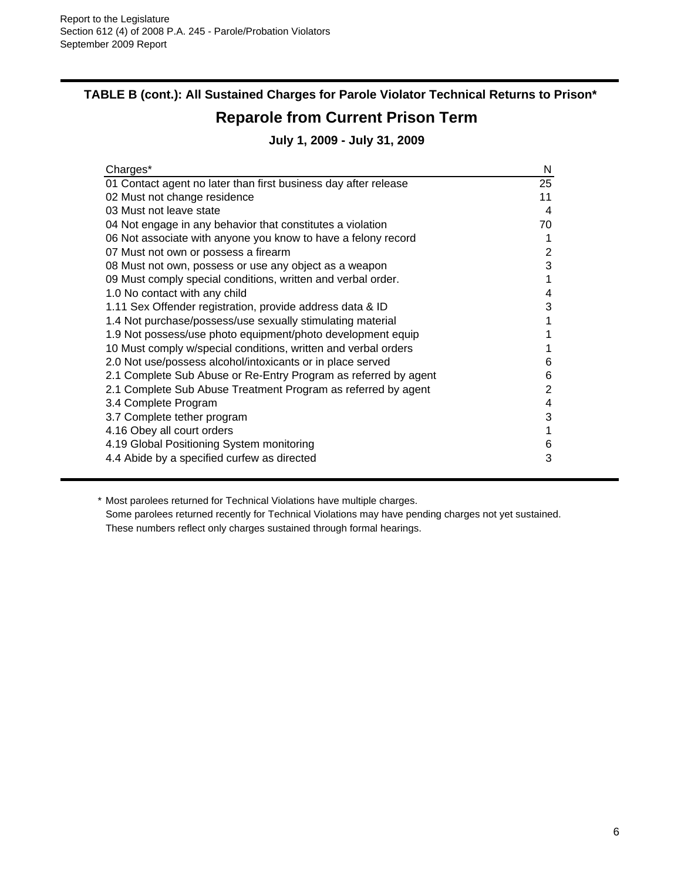# **TABLE B (cont.): All Sustained Charges for Parole Violator Technical Returns to Prison\***

# **Reparole from Current Prison Term**

#### **July 1, 2009 - July 31, 2009**

| Charges*                                                        | N  |
|-----------------------------------------------------------------|----|
| 01 Contact agent no later than first business day after release | 25 |
| 02 Must not change residence                                    | 11 |
| 03 Must not leave state                                         | 4  |
| 04 Not engage in any behavior that constitutes a violation      | 70 |
| 06 Not associate with anyone you know to have a felony record   | 1  |
| 07 Must not own or possess a firearm                            | 2  |
| 08 Must not own, possess or use any object as a weapon          | 3  |
| 09 Must comply special conditions, written and verbal order.    | 1  |
| 1.0 No contact with any child                                   | 4  |
| 1.11 Sex Offender registration, provide address data & ID       | 3  |
| 1.4 Not purchase/possess/use sexually stimulating material      | 1  |
| 1.9 Not possess/use photo equipment/photo development equip     |    |
| 10 Must comply w/special conditions, written and verbal orders  |    |
| 2.0 Not use/possess alcohol/intoxicants or in place served      | 6  |
| 2.1 Complete Sub Abuse or Re-Entry Program as referred by agent | 6  |
| 2.1 Complete Sub Abuse Treatment Program as referred by agent   | 2  |
| 3.4 Complete Program                                            | 4  |
| 3.7 Complete tether program                                     | 3  |
| 4.16 Obey all court orders                                      | 1  |
| 4.19 Global Positioning System monitoring                       | 6  |
| 4.4 Abide by a specified curfew as directed                     | 3  |

\* Most parolees returned for Technical Violations have multiple charges. Some parolees returned recently for Technical Violations may have pending charges not yet sustained. These numbers reflect only charges sustained through formal hearings.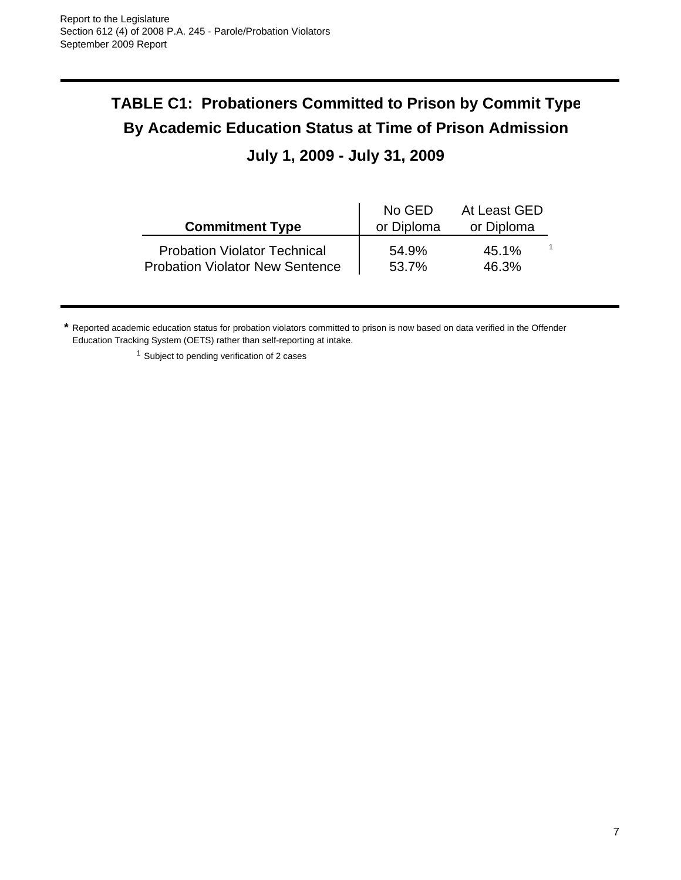# **TABLE C1: Probationers Committed to Prison by Commit Type By Academic Education Status at Time of Prison Admission**

# **July 1, 2009 - July 31, 2009**

| <b>Commitment Type</b>                 | No GED<br>or Diploma | At Least GED<br>or Diploma |
|----------------------------------------|----------------------|----------------------------|
| <b>Probation Violator Technical</b>    | 54.9%                | 45.1%                      |
| <b>Probation Violator New Sentence</b> | 53.7%                | 46.3%                      |

**\*** Reported academic education status for probation violators committed to prison is now based on data verified in the Offender Education Tracking System (OETS) rather than self-reporting at intake.

<sup>1</sup> Subject to pending verification of 2 cases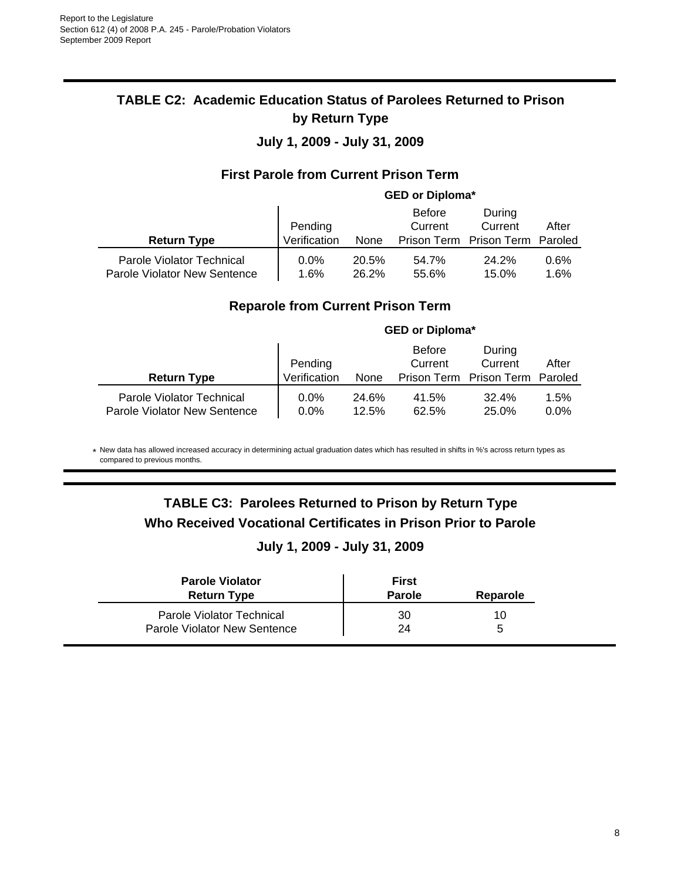#### **TABLE C2: Academic Education Status of Parolees Returned to Prison by Return Type**

#### **July 1, 2009 - July 31, 2009**

#### **First Parole from Current Prison Term**

#### **GED or Diploma\***

|                              | Pending      |       | <b>Before</b><br>Current | During<br>Current   | After   |
|------------------------------|--------------|-------|--------------------------|---------------------|---------|
| <b>Return Type</b>           | Verification | None  | Prison Term              | Prison Term Paroled |         |
| Parole Violator Technical    | $0.0\%$      | 20.5% | 54.7%                    | 24.2%               | $0.6\%$ |
| Parole Violator New Sentence | $1.6\%$      | 26.2% | 55.6%                    | 15.0%               | $1.6\%$ |

#### **Reparole from Current Prison Term**

|                                                           | <b>GED or Diploma*</b> |                |                          |                                 |                 |
|-----------------------------------------------------------|------------------------|----------------|--------------------------|---------------------------------|-----------------|
|                                                           | Pending                |                | <b>Before</b><br>Current | During<br>Current               | After           |
| <b>Return Type</b>                                        | Verification           | None           |                          | Prison Term Prison Term Paroled |                 |
| Parole Violator Technical<br>Parole Violator New Sentence | $0.0\%$<br>$0.0\%$     | 24.6%<br>12.5% | 41.5%<br>62.5%           | 32.4%<br>25.0%                  | 1.5%<br>$0.0\%$ |

\* New data has allowed increased accuracy in determining actual graduation dates which has resulted in shifts in %'s across return types as compared to previous months.

#### **TABLE C3: Parolees Returned to Prison by Return Type Who Received Vocational Certificates in Prison Prior to Parole**

#### **July 1, 2009 - July 31, 2009**

| <b>Parole Violator</b><br><b>Return Type</b> | First<br><b>Parole</b> | Reparole |
|----------------------------------------------|------------------------|----------|
| Parole Violator Technical                    | 30                     | 10       |
| <b>Parole Violator New Sentence</b>          | 24                     | ∽        |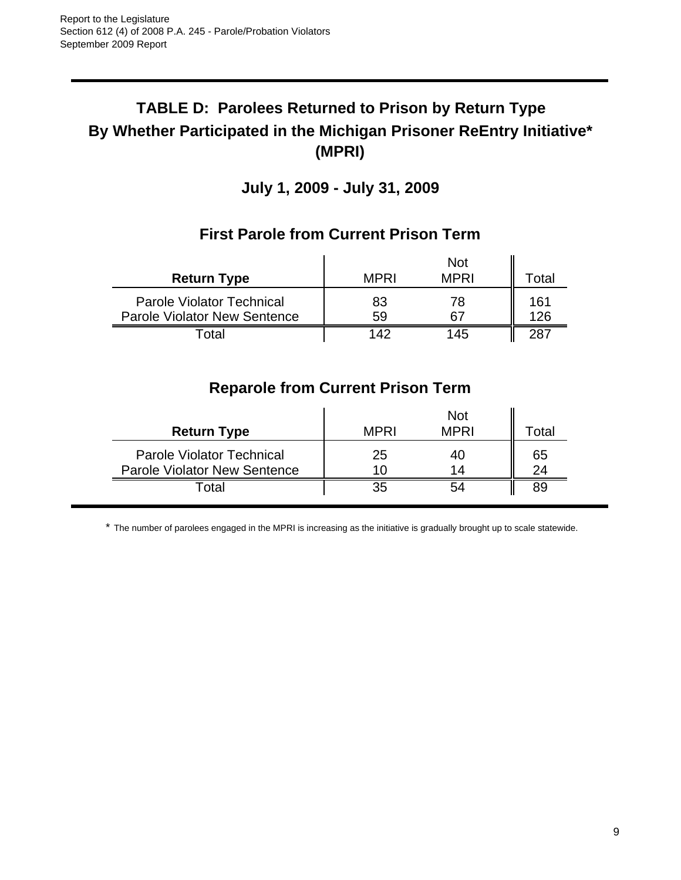# **TABLE D: Parolees Returned to Prison by Return Type By Whether Participated in the Michigan Prisoner ReEntry Initiative\* (MPRI)**

**July 1, 2009 - July 31, 2009**

|                                                                         |             | <b>Not</b>  |            |
|-------------------------------------------------------------------------|-------------|-------------|------------|
| <b>Return Type</b>                                                      | <b>MPRI</b> | <b>MPRI</b> | Гotal      |
| <b>Parole Violator Technical</b><br><b>Parole Violator New Sentence</b> | 83<br>59    | 78<br>67    | 161<br>126 |
| nta                                                                     | 142         | 145         |            |

#### **First Parole from Current Prison Term**

# **Reparole from Current Prison Term**

| <b>Return Type</b>                                                      | <b>MPRI</b> | <b>Not</b><br><b>MPRI</b> | ⊺otal    |
|-------------------------------------------------------------------------|-------------|---------------------------|----------|
| <b>Parole Violator Technical</b><br><b>Parole Violator New Sentence</b> | 25<br>7 O D | 1⊿                        | 65<br>24 |
| Total                                                                   |             |                           | 89       |

\* The number of parolees engaged in the MPRI is increasing as the initiative is gradually brought up to scale statewide.